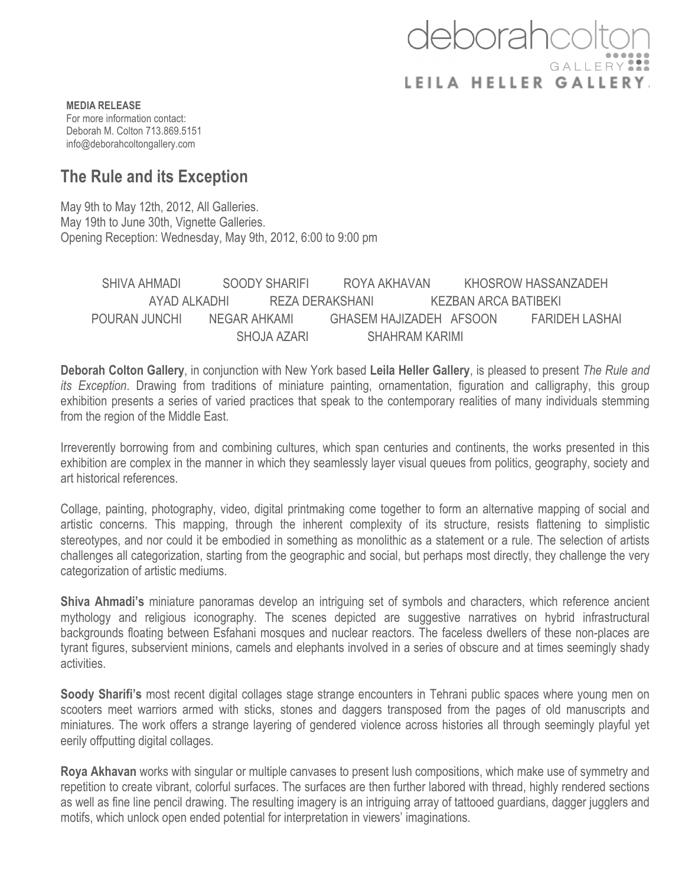## deborahcc GALLERY LEILA HELLER GALLERY

**MEDIA RELEASE** For more information contact: Deborah M. Colton 713.869.5151 info@deborahcoltongallery.com

## **The Rule and its Exception**

May 9th to May 12th, 2012, All Galleries. May 19th to June 30th, Vignette Galleries. Opening Reception: Wednesday, May 9th, 2012, 6:00 to 9:00 pm

SHIVA AHMADI SOODY SHARIFI ROYA AKHAVAN KHOSROW HASSANZADEH AYAD ALKADHI REZA DERAKSHANI KEZBAN ARCA BATIBEKI POURAN JUNCHI NEGAR AHKAMI GHASEM HAJIZADEH AFSOON FARIDEH LASHAI SHOJA AZARI SHAHRAM KARIMI

**Deborah Colton Gallery**, in conjunction with New York based **Leila Heller Gallery**, is pleased to present *The Rule and its Exception*. Drawing from traditions of miniature painting, ornamentation, figuration and calligraphy, this group exhibition presents a series of varied practices that speak to the contemporary realities of many individuals stemming from the region of the Middle East.

Irreverently borrowing from and combining cultures, which span centuries and continents, the works presented in this exhibition are complex in the manner in which they seamlessly layer visual queues from politics, geography, society and art historical references.

Collage, painting, photography, video, digital printmaking come together to form an alternative mapping of social and artistic concerns. This mapping, through the inherent complexity of its structure, resists flattening to simplistic stereotypes, and nor could it be embodied in something as monolithic as a statement or a rule. The selection of artists challenges all categorization, starting from the geographic and social, but perhaps most directly, they challenge the very categorization of artistic mediums.

**Shiva Ahmadi's** miniature panoramas develop an intriguing set of symbols and characters, which reference ancient mythology and religious iconography. The scenes depicted are suggestive narratives on hybrid infrastructural backgrounds floating between Esfahani mosques and nuclear reactors. The faceless dwellers of these non-places are tyrant figures, subservient minions, camels and elephants involved in a series of obscure and at times seemingly shady activities.

**Soody Sharifi's** most recent digital collages stage strange encounters in Tehrani public spaces where young men on scooters meet warriors armed with sticks, stones and daggers transposed from the pages of old manuscripts and miniatures. The work offers a strange layering of gendered violence across histories all through seemingly playful yet eerily offputting digital collages.

**Roya Akhavan** works with singular or multiple canvases to present lush compositions, which make use of symmetry and repetition to create vibrant, colorful surfaces. The surfaces are then further labored with thread, highly rendered sections as well as fine line pencil drawing. The resulting imagery is an intriguing array of tattooed guardians, dagger jugglers and motifs, which unlock open ended potential for interpretation in viewers' imaginations.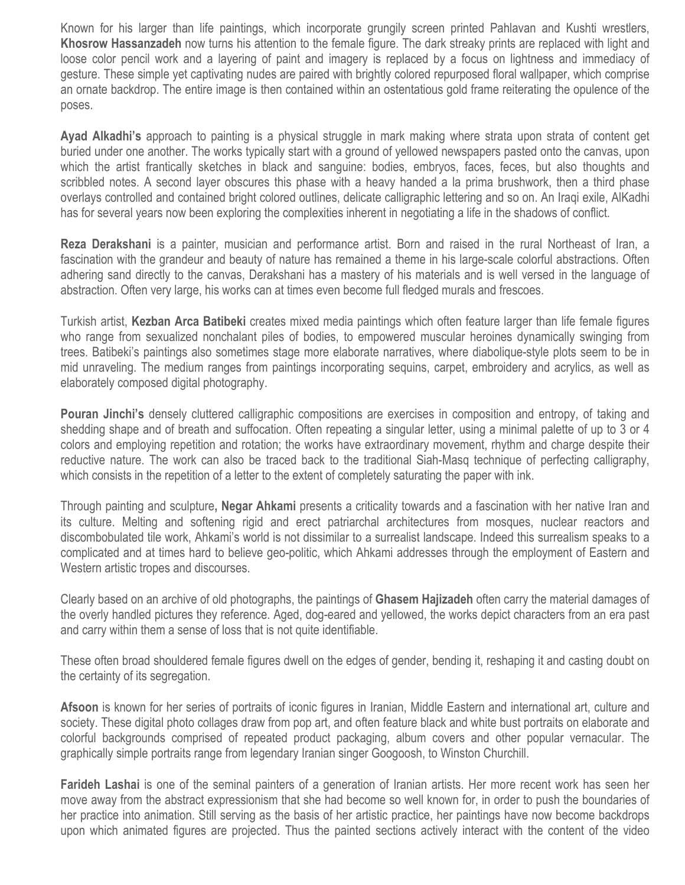Known for his larger than life paintings, which incorporate grungily screen printed Pahlavan and Kushti wrestlers, **Khosrow Hassanzadeh** now turns his attention to the female figure. The dark streaky prints are replaced with light and loose color pencil work and a layering of paint and imagery is replaced by a focus on lightness and immediacy of gesture. These simple yet captivating nudes are paired with brightly colored repurposed floral wallpaper, which comprise an ornate backdrop. The entire image is then contained within an ostentatious gold frame reiterating the opulence of the poses.

**Ayad Alkadhi's** approach to painting is a physical struggle in mark making where strata upon strata of content get buried under one another. The works typically start with a ground of yellowed newspapers pasted onto the canvas, upon which the artist frantically sketches in black and sanguine: bodies, embryos, faces, feces, but also thoughts and scribbled notes. A second layer obscures this phase with a heavy handed a la prima brushwork, then a third phase overlays controlled and contained bright colored outlines, delicate calligraphic lettering and so on. An Iraqi exile, AlKadhi has for several years now been exploring the complexities inherent in negotiating a life in the shadows of conflict.

**Reza Derakshani** is a painter, musician and performance artist. Born and raised in the rural Northeast of Iran, a fascination with the grandeur and beauty of nature has remained a theme in his large-scale colorful abstractions. Often adhering sand directly to the canvas, Derakshani has a mastery of his materials and is well versed in the language of abstraction. Often very large, his works can at times even become full fledged murals and frescoes.

Turkish artist, **Kezban Arca Batibeki** creates mixed media paintings which often feature larger than life female figures who range from sexualized nonchalant piles of bodies, to empowered muscular heroines dynamically swinging from trees. Batibeki's paintings also sometimes stage more elaborate narratives, where diabolique-style plots seem to be in mid unraveling. The medium ranges from paintings incorporating sequins, carpet, embroidery and acrylics, as well as elaborately composed digital photography.

**Pouran Jinchi's** densely cluttered calligraphic compositions are exercises in composition and entropy, of taking and shedding shape and of breath and suffocation. Often repeating a singular letter, using a minimal palette of up to 3 or 4 colors and employing repetition and rotation; the works have extraordinary movement, rhythm and charge despite their reductive nature. The work can also be traced back to the traditional Siah-Masq technique of perfecting calligraphy, which consists in the repetition of a letter to the extent of completely saturating the paper with ink.

Through painting and sculpture**, Negar Ahkami** presents a criticality towards and a fascination with her native Iran and its culture. Melting and softening rigid and erect patriarchal architectures from mosques, nuclear reactors and discombobulated tile work, Ahkami's world is not dissimilar to a surrealist landscape. Indeed this surrealism speaks to a complicated and at times hard to believe geo-politic, which Ahkami addresses through the employment of Eastern and Western artistic tropes and discourses.

Clearly based on an archive of old photographs, the paintings of **Ghasem Hajizadeh** often carry the material damages of the overly handled pictures they reference. Aged, dog-eared and yellowed, the works depict characters from an era past and carry within them a sense of loss that is not quite identifiable.

These often broad shouldered female figures dwell on the edges of gender, bending it, reshaping it and casting doubt on the certainty of its segregation.

**Afsoon** is known for her series of portraits of iconic figures in Iranian, Middle Eastern and international art, culture and society. These digital photo collages draw from pop art, and often feature black and white bust portraits on elaborate and colorful backgrounds comprised of repeated product packaging, album covers and other popular vernacular. The graphically simple portraits range from legendary Iranian singer Googoosh, to Winston Churchill.

**Farideh Lashai** is one of the seminal painters of a generation of Iranian artists. Her more recent work has seen her move away from the abstract expressionism that she had become so well known for, in order to push the boundaries of her practice into animation. Still serving as the basis of her artistic practice, her paintings have now become backdrops upon which animated figures are projected. Thus the painted sections actively interact with the content of the video